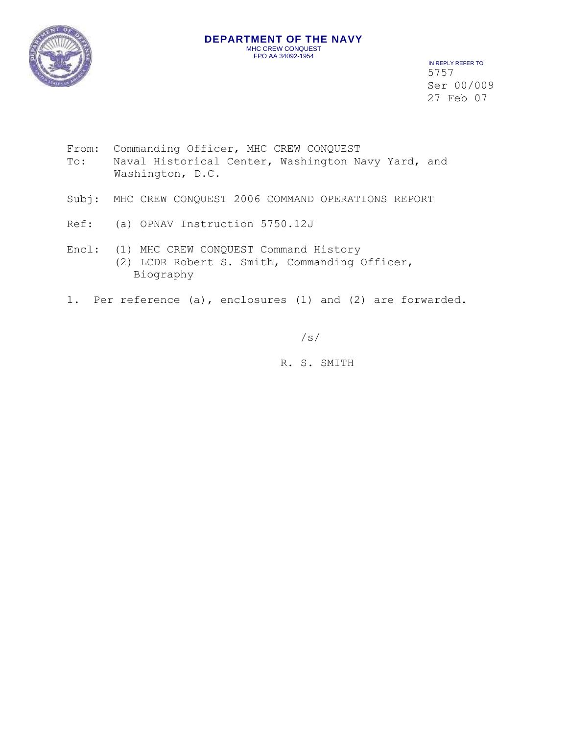

 IN REPLY REFER TO 5757 Ser 00/009 27 Feb 07

- From: Commanding Officer, MHC CREW CONQUEST To: Naval Historical Center, Washington Navy Yard, and Washington, D.C.
- Subj: MHC CREW CONQUEST 2006 COMMAND OPERATIONS REPORT
- Ref: (a) OPNAV Instruction 5750.12J
- Encl: (1) MHC CREW CONQUEST Command History (2) LCDR Robert S. Smith, Commanding Officer, Biography
- 1. Per reference (a), enclosures (1) and (2) are forwarded.

/s/

R. S. SMITH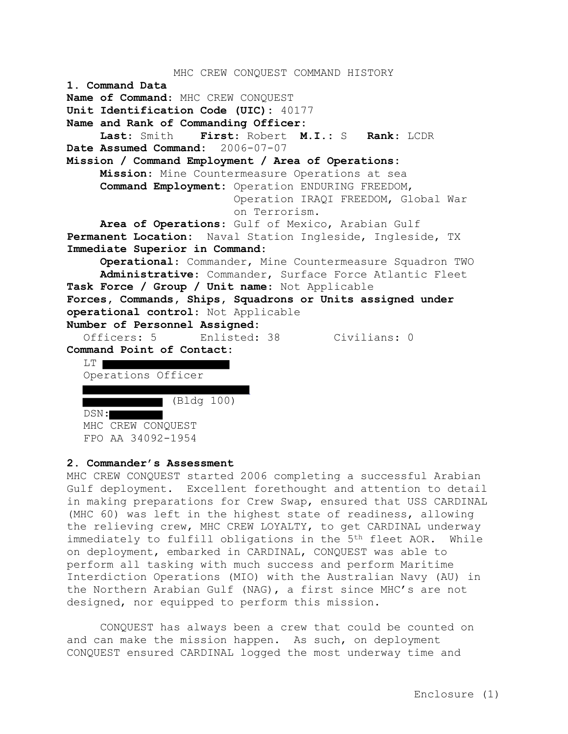```
MHC CREW CONQUEST COMMAND HISTORY
1. Command Data
Name of Command: MHC CREW CONQUEST
Unit Identification Code (UIC): 40177
Name and Rank of Commanding Officer: 
     Last: Smith First: Robert M.I.: S Rank: LCDR
Date Assumed Command: 2006-07-07
Mission / Command Employment / Area of Operations:
    Mission: Mine Countermeasure Operations at sea
     Command Employment: Operation ENDURING FREEDOM, 
                        Operation IRAQI FREEDOM, Global War
                        on Terrorism.
    Area of Operations: Gulf of Mexico, Arabian Gulf
Permanent Location: Naval Station Ingleside, Ingleside, TX
Immediate Superior in Command:
     Operational: Commander, Mine Countermeasure Squadron TWO
     Administrative: Commander, Surface Force Atlantic Fleet
Task Force / Group / Unit name: Not Applicable
Forces, Commands, Ships, Squadrons or Units assigned under 
operational control: Not Applicable
Number of Personnel Assigned:
  Officers: 5 Enlisted: 38 Civilians: 0
Command Point of Contact:
  LT |
  Operations Officer
          (Bldg 100)
  DSN:
  MHC CREW CONQUEST
```
### **2. Commander's Assessment**

FPO AA 34092-1954

MHC CREW CONQUEST started 2006 completing a successful Arabian Gulf deployment. Excellent forethought and attention to detail in making preparations for Crew Swap, ensured that USS CARDINAL (MHC 60) was left in the highest state of readiness, allowing the relieving crew, MHC CREW LOYALTY, to get CARDINAL underway immediately to fulfill obligations in the 5<sup>th</sup> fleet AOR. While on deployment, embarked in CARDINAL, CONQUEST was able to perform all tasking with much success and perform Maritime Interdiction Operations (MIO) with the Australian Navy (AU) in the Northern Arabian Gulf (NAG), a first since MHC's are not designed, nor equipped to perform this mission.

CONQUEST has always been a crew that could be counted on and can make the mission happen. As such, on deployment CONQUEST ensured CARDINAL logged the most underway time and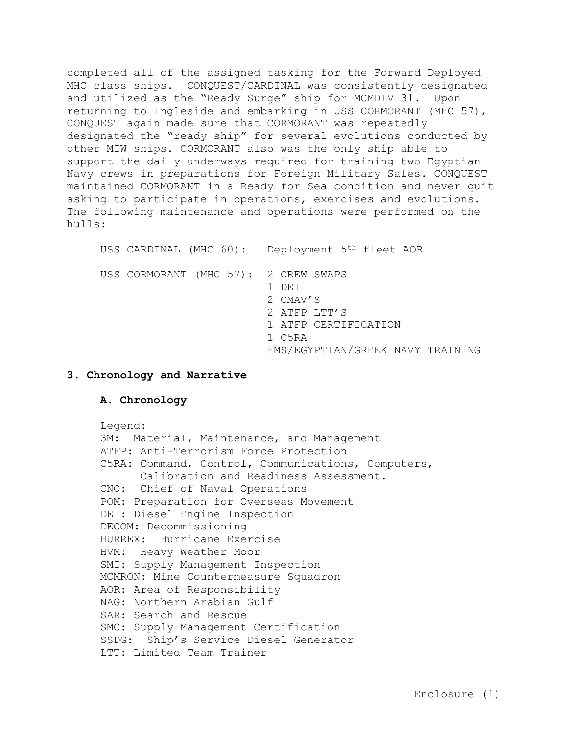completed all of the assigned tasking for the Forward Deployed MHC class ships. CONQUEST/CARDINAL was consistently designated and utilized as the "Ready Surge" ship for MCMDIV 31. Upon returning to Ingleside and embarking in USS CORMORANT (MHC 57), CONQUEST again made sure that CORMORANT was repeatedly designated the "ready ship" for several evolutions conducted by other MIW ships. CORMORANT also was the only ship able to support the daily underways required for training two Egyptian Navy crews in preparations for Foreign Military Sales. CONQUEST maintained CORMORANT in a Ready for Sea condition and never quit asking to participate in operations, exercises and evolutions. The following maintenance and operations were performed on the hulls:

USS CARDINAL (MHC 60): Deployment 5th fleet AOR USS CORMORANT (MHC 57): 2 CREW SWAPS 1 DEI 2 CMAV'S 2 ATFP LTT'S 1 ATFP CERTIFICATION 1 C5RA FMS/EGYPTIAN/GREEK NAVY TRAINING

### **3. Chronology and Narrative**

### **A. Chronology**

Legend: 3M: Material, Maintenance, and Management ATFP: Anti-Terrorism Force Protection C5RA: Command, Control, Communications, Computers, Calibration and Readiness Assessment. CNO: Chief of Naval Operations POM: Preparation for Overseas Movement DEI: Diesel Engine Inspection DECOM: Decommissioning HURREX: Hurricane Exercise HVM: Heavy Weather Moor SMI: Supply Management Inspection MCMRON: Mine Countermeasure Squadron AOR: Area of Responsibility NAG: Northern Arabian Gulf SAR: Search and Rescue SMC: Supply Management Certification SSDG: Ship's Service Diesel Generator LTT: Limited Team Trainer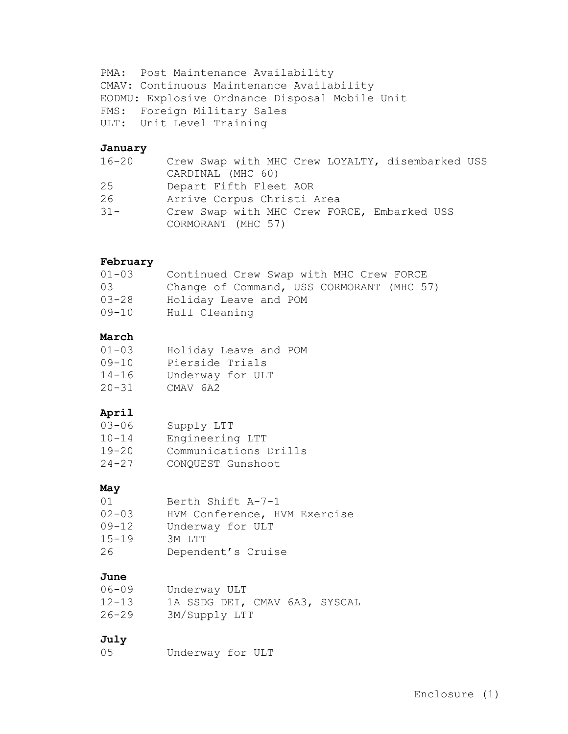PMA: Post Maintenance Availability CMAV: Continuous Maintenance Availability EODMU: Explosive Ordnance Disposal Mobile Unit FMS: Foreign Military Sales ULT: Unit Level Training

## **January**

| 16-20  | Crew Swap with MHC Crew LOYALTY, disembarked USS |
|--------|--------------------------------------------------|
|        | CARDINAL (MHC 60)                                |
| 25     | Depart Fifth Fleet AOR                           |
| 26     | Arrive Corpus Christi Area                       |
| $31 -$ | Crew Swap with MHC Crew FORCE, Embarked USS      |
|        | CORMORANT (MHC 57)                               |

## **February**

| $01 - 03$ | Continued Crew Swap with MHC Crew FORCE   |
|-----------|-------------------------------------------|
| 03        | Change of Command, USS CORMORANT (MHC 57) |
| $03 - 28$ | Holiday Leave and POM                     |
| 09-10     | Hull Cleaning                             |

## **March**

| $01 - 03$ | Holiday Leave and POM |
|-----------|-----------------------|
| $09 - 10$ | Pierside Trials       |
| $14 - 16$ | Underway for ULT      |
| $20 - 31$ | CMAV 6A2              |

# **April**

| $03 - 06$ | Supply LTT            |
|-----------|-----------------------|
| $10 - 14$ | Engineering LTT       |
| $19 - 20$ | Communications Drills |
| $24 - 27$ | CONQUEST Gunshoot     |

## **May**

| 01        | Berth Shift A-7-1            |
|-----------|------------------------------|
| $02 - 03$ | HVM Conference, HVM Exercise |
| $09 - 12$ | Underway for ULT             |
| $15 - 19$ | RM LTT                       |
| 26        | Dependent's Cruise           |

# **June**

| $06 - 09$ |  | Underway ULT  |  |                               |
|-----------|--|---------------|--|-------------------------------|
| $12 - 13$ |  |               |  | 1A SSDG DEI, CMAV 6A3, SYSCAL |
| $26 - 29$ |  | 3M/Supply LTT |  |                               |

# **July**

05 Underway for ULT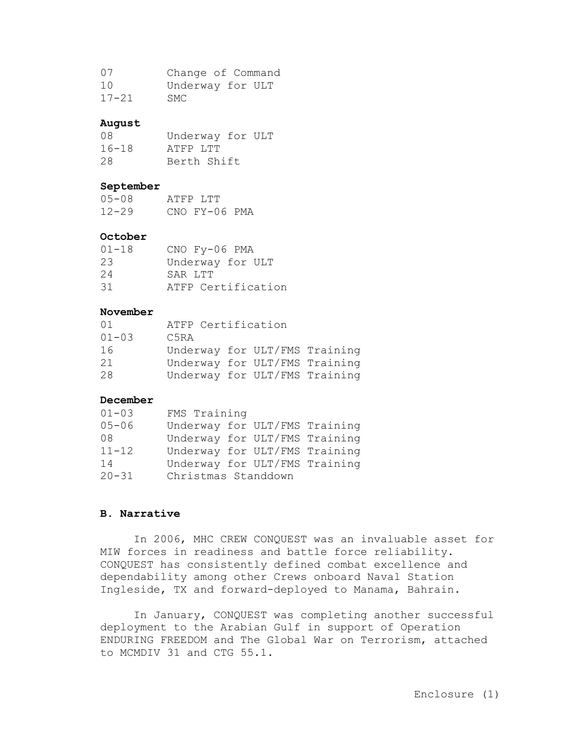| 07        | Change of Command |
|-----------|-------------------|
| 1 O       | Underway for ULT  |
| $17 - 21$ | SMC.              |

## **August**

| 08        | Underway for ULT |  |
|-----------|------------------|--|
| $16 - 18$ | ATFP LTT         |  |
| 28        | Berth Shift      |  |

### **September**

| $0.5 - 0.8$ | ATFP LTT      |  |
|-------------|---------------|--|
| $12 - 29$   | CNO FY-06 PMA |  |

## **October**

| $01 - 18$ | CNO Fy-06 PMA      |
|-----------|--------------------|
| 23        | Underway for ULT   |
| 24        | SAR LTT            |
| 31        | ATFP Certification |

### **November**

| 01        | ATFP Certification |                               |  |
|-----------|--------------------|-------------------------------|--|
| $01 - 03$ | C5RA               |                               |  |
| 16        |                    | Underway for ULT/FMS Training |  |
| 21        |                    | Underway for ULT/FMS Training |  |
| 28        |                    | Underway for ULT/FMS Training |  |

### **December**

| $01 - 03$ | FMS Training        |  |                               |
|-----------|---------------------|--|-------------------------------|
| $05 - 06$ |                     |  | Underway for ULT/FMS Training |
| 08        |                     |  | Underway for ULT/FMS Training |
| $11 - 12$ |                     |  | Underway for ULT/FMS Training |
| 14        |                     |  | Underway for ULT/FMS Training |
| $20 - 31$ | Christmas Standdown |  |                               |

### **B. Narrative**

In 2006, MHC CREW CONQUEST was an invaluable asset for MIW forces in readiness and battle force reliability. CONQUEST has consistently defined combat excellence and dependability among other Crews onboard Naval Station Ingleside, TX and forward-deployed to Manama, Bahrain.

In January, CONQUEST was completing another successful deployment to the Arabian Gulf in support of Operation ENDURING FREEDOM and The Global War on Terrorism, attached to MCMDIV 31 and CTG 55.1.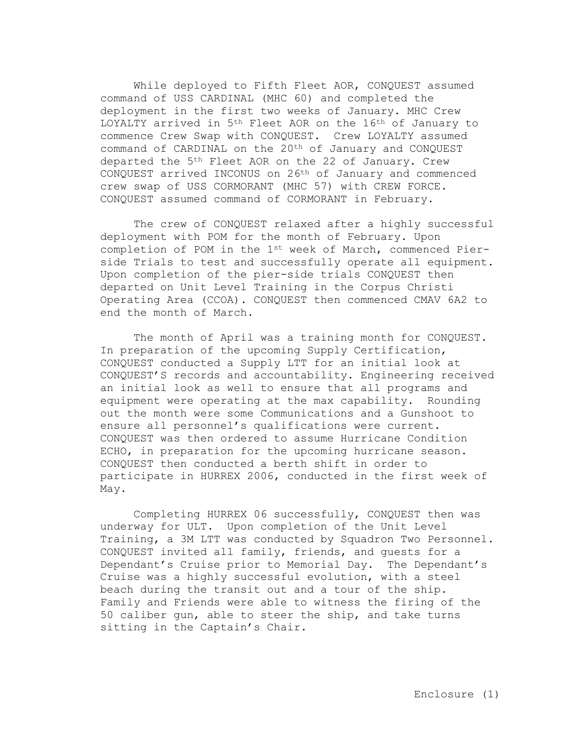While deployed to Fifth Fleet AOR, CONQUEST assumed command of USS CARDINAL (MHC 60) and completed the deployment in the first two weeks of January. MHC Crew LOYALTY arrived in 5th Fleet AOR on the 16th of January to commence Crew Swap with CONQUEST. Crew LOYALTY assumed command of CARDINAL on the 20<sup>th</sup> of January and CONQUEST departed the 5th Fleet AOR on the 22 of January. Crew CONQUEST arrived INCONUS on 26th of January and commenced crew swap of USS CORMORANT (MHC 57) with CREW FORCE. CONQUEST assumed command of CORMORANT in February.

The crew of CONQUEST relaxed after a highly successful deployment with POM for the month of February. Upon completion of POM in the 1st week of March, commenced Pierside Trials to test and successfully operate all equipment. Upon completion of the pier-side trials CONQUEST then departed on Unit Level Training in the Corpus Christi Operating Area (CCOA). CONQUEST then commenced CMAV 6A2 to end the month of March.

The month of April was a training month for CONOUEST. In preparation of the upcoming Supply Certification, CONQUEST conducted a Supply LTT for an initial look at CONQUEST'S records and accountability. Engineering received an initial look as well to ensure that all programs and equipment were operating at the max capability. Rounding out the month were some Communications and a Gunshoot to ensure all personnel's qualifications were current. CONQUEST was then ordered to assume Hurricane Condition ECHO, in preparation for the upcoming hurricane season. CONQUEST then conducted a berth shift in order to participate in HURREX 2006, conducted in the first week of May.

Completing HURREX 06 successfully, CONQUEST then was underway for ULT. Upon completion of the Unit Level Training, a 3M LTT was conducted by Squadron Two Personnel. CONQUEST invited all family, friends, and guests for a Dependant's Cruise prior to Memorial Day. The Dependant's Cruise was a highly successful evolution, with a steel beach during the transit out and a tour of the ship. Family and Friends were able to witness the firing of the 50 caliber gun, able to steer the ship, and take turns sitting in the Captain's Chair.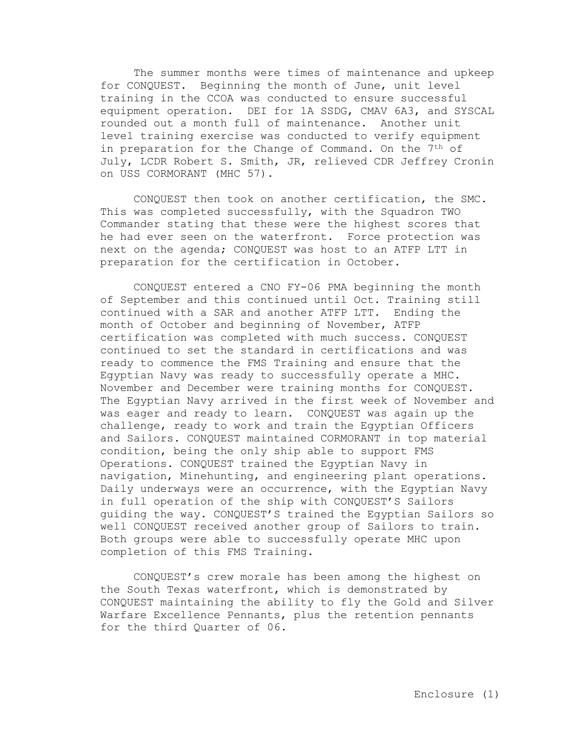The summer months were times of maintenance and upkeep for CONQUEST. Beginning the month of June, unit level training in the CCOA was conducted to ensure successful equipment operation. DEI for 1A SSDG, CMAV 6A3, and SYSCAL rounded out a month full of maintenance. Another unit level training exercise was conducted to verify equipment in preparation for the Change of Command. On the 7<sup>th</sup> of July, LCDR Robert S. Smith, JR, relieved CDR Jeffrey Cronin on USS CORMORANT (MHC 57).

CONQUEST then took on another certification, the SMC. This was completed successfully, with the Squadron TWO Commander stating that these were the highest scores that he had ever seen on the waterfront. Force protection was next on the agenda; CONQUEST was host to an ATFP LTT in preparation for the certification in October.

CONQUEST entered a CNO FY-06 PMA beginning the month of September and this continued until Oct. Training still continued with a SAR and another ATFP LTT. Ending the month of October and beginning of November, ATFP certification was completed with much success. CONQUEST continued to set the standard in certifications and was ready to commence the FMS Training and ensure that the Egyptian Navy was ready to successfully operate a MHC. November and December were training months for CONQUEST. The Egyptian Navy arrived in the first week of November and was eager and ready to learn. CONQUEST was again up the challenge, ready to work and train the Egyptian Officers and Sailors. CONQUEST maintained CORMORANT in top material condition, being the only ship able to support FMS Operations. CONQUEST trained the Egyptian Navy in navigation, Minehunting, and engineering plant operations. Daily underways were an occurrence, with the Egyptian Navy in full operation of the ship with CONQUEST'S Sailors guiding the way. CONQUEST'S trained the Egyptian Sailors so well CONQUEST received another group of Sailors to train. Both groups were able to successfully operate MHC upon completion of this FMS Training.

CONQUEST's crew morale has been among the highest on the South Texas waterfront, which is demonstrated by CONQUEST maintaining the ability to fly the Gold and Silver Warfare Excellence Pennants, plus the retention pennants for the third Quarter of 06.